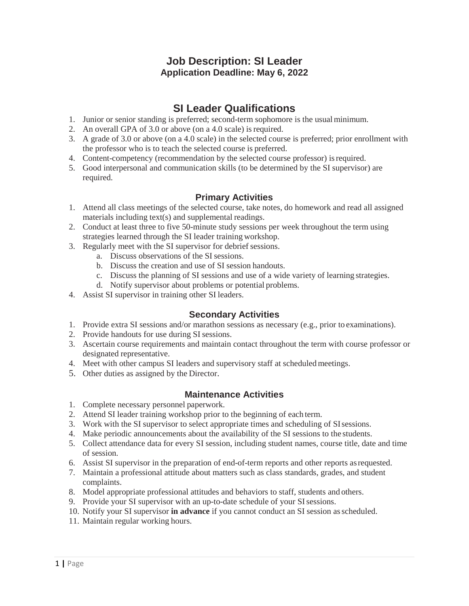### **Job Description: SI Leader Application Deadline: May 6, 2022**

## **SI Leader Qualifications**

- 1. Junior or senior standing is preferred; second-term sophomore is the usual minimum.
- 2. An overall GPA of 3.0 or above (on a 4.0 scale) is required.
- 3. A grade of 3.0 or above (on a 4.0 scale) in the selected course is preferred; prior enrollment with the professor who is to teach the selected course is preferred.
- 4. Content-competency (recommendation by the selected course professor) isrequired.
- 5. Good interpersonal and communication skills (to be determined by the SI supervisor) are required.

#### **Primary Activities**

- 1. Attend all class meetings of the selected course, take notes, do homework and read all assigned materials including text(s) and supplemental readings.
- 2. Conduct at least three to five 50-minute study sessions per week throughout the term using strategies learned through the SI leader training workshop.
- 3. Regularly meet with the SI supervisor for debrief sessions.
	- a. Discuss observations of the SI sessions.
	- b. Discuss the creation and use of SI session handouts.
	- c. Discuss the planning of SI sessions and use of a wide variety of learning strategies.
	- d. Notify supervisor about problems or potential problems.
- 4. Assist SI supervisor in training other SI leaders.

#### **Secondary Activities**

- 1. Provide extra SI sessions and/or marathon sessions as necessary (e.g., prior to examinations).
- 2. Provide handouts for use during SI sessions.
- 3. Ascertain course requirements and maintain contact throughout the term with course professor or designated representative.
- 4. Meet with other campus SI leaders and supervisory staff at scheduled meetings.
- 5. Other duties as assigned by the Director.

#### **Maintenance Activities**

- 1. Complete necessary personnel paperwork.
- 2. Attend SI leader training workshop prior to the beginning of each term.
- 3. Work with the SI supervisor to select appropriate times and scheduling of SIsessions.
- 4. Make periodic announcements about the availability of the SI sessions to the students.
- 5. Collect attendance data for every SI session, including student names, course title, date and time of session.
- 6. Assist SI supervisor in the preparation of end-of-term reports and other reports asrequested.
- 7. Maintain a professional attitude about matters such as class standards, grades, and student complaints.
- 8. Model appropriate professional attitudes and behaviors to staff, students and others.
- 9. Provide your SI supervisor with an up-to-date schedule of your SI sessions.
- 10. Notify your SI supervisor **in advance** if you cannot conduct an SI session asscheduled.
- 11. Maintain regular working hours.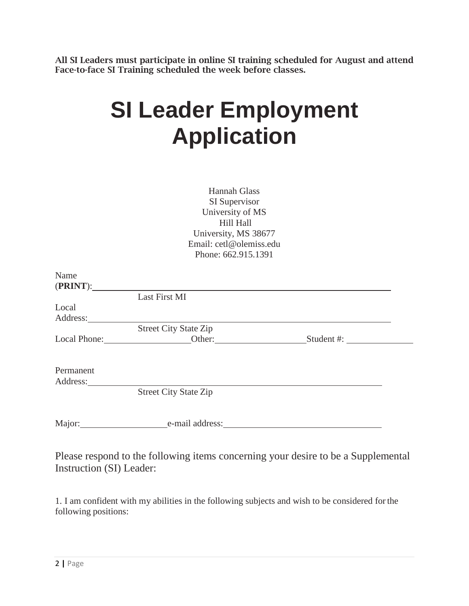All SI Leaders must participate in online SI training scheduled for August and attend Face-to-face SI Training scheduled the week before classes.

# **SI Leader Employment Application**

| Hannah Glass<br>SI Supervisor<br>University of MS<br>Hill Hall<br>University, MS 38677<br>Email: cetl@olemiss.edu<br>Phone: 662.915.1391 |                              |  |  |
|------------------------------------------------------------------------------------------------------------------------------------------|------------------------------|--|--|
|                                                                                                                                          |                              |  |  |
| Name                                                                                                                                     | (PRINT):                     |  |  |
|                                                                                                                                          | Last First MI                |  |  |
| Local                                                                                                                                    |                              |  |  |
|                                                                                                                                          | <b>Street City State Zip</b> |  |  |
|                                                                                                                                          |                              |  |  |
| Permanent                                                                                                                                |                              |  |  |
|                                                                                                                                          |                              |  |  |
|                                                                                                                                          | <b>Street City State Zip</b> |  |  |
|                                                                                                                                          | Major: e-mail address:       |  |  |

Please respond to the following items concerning your desire to be a Supplemental Instruction (SI) Leader:

1. I am confident with my abilities in the following subjects and wish to be considered forthe following positions: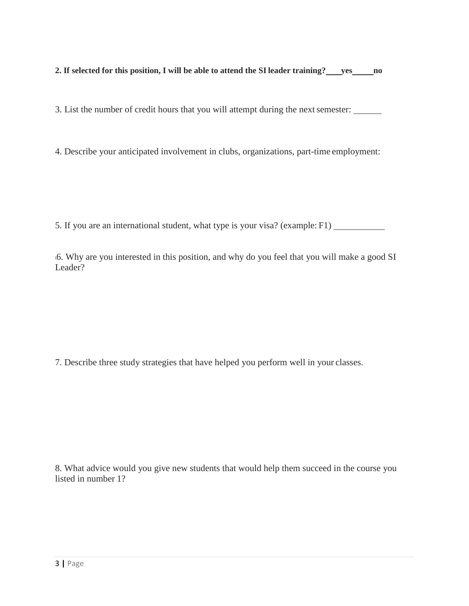**2. If selected for this position, I will be able to attend the SIleader training? yes no**

3. List the number of credit hours that you will attempt during the next semester:

4. Describe your anticipated involvement in clubs, organizations, part-time employment:

5. If you are an international student, what type is your visa? (example: F1)

\6. Why are you interested in this position, and why do you feel that you will make a good SI Leader?

7. Describe three study strategies that have helped you perform well in your classes.

8. What advice would you give new students that would help them succeed in the course you listed in number 1?